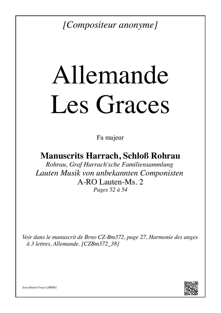*[Compositeur anonyme]*

# Allemande Les Graces

[Fa majeur](#page-2-0)

#### **[Manuscrits Harrach, Schloß Rohrau](http://jdf.luth.pagesperso-orange.fr/Musiques/Les_manuscrits/Harrach_Rohrau/Manuscrits_Harrach_Rohrau.htm#Ms_Harrach_II)**

*Rohrau, Graf Harrach'sche Familiensammlung Lauten Musik von unbekannten Componisten* A-RO Lauten-Ms. 2 *Pages 52 à 54*

*[Voir dans le manuscrit de Brno CZ-Bm372, page 27, Harmonie des anges](https://dl.dropboxusercontent.com/u/60516846/Partitions_pour_luth_baroque/Musiques/Les_manuscrits/Brno/CZBm372/Tablature/CZBm372_38_Ano_Les_Graces.pdf) à 3 lettres, Allemande. [CZBm372\_38]*



*[Jean-Daniel Forget](http://jdf.luth.pagesperso-orange.fr/) [\[HRII6\]](https://dl.dropboxusercontent.com/u/60516846/Partitions_pour_luth_baroque/Musiques/Les_manuscrits/Harrach_Rohrau/Harrach_Rohrau_II/Tablature/HRII6_Ano_Les_Graces.pdf)*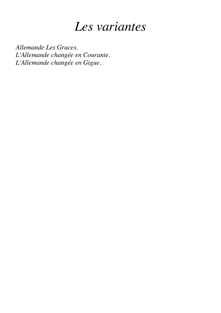# *Les variantes*

*[Allemande Les Graces.](#page-3-0)  [L'Allemande changée en Courante.](#page-5-0)  [L'Allemande changée en Gigue.](#page-7-0)*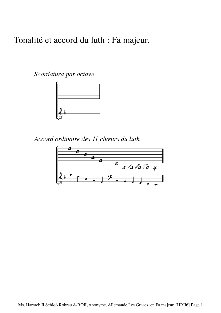<span id="page-2-0"></span>Tonalité et accord du luth : Fa majeur.

*Scordatura par octave*



*Accord ordinaire des 11 chœurs du luth*

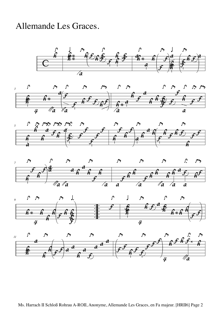#### <span id="page-3-0"></span>Allemande Les Graces.











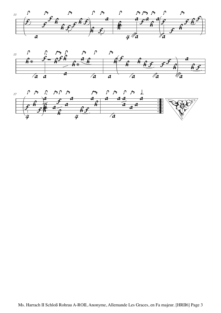



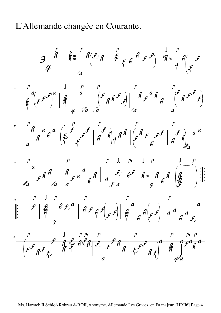## <span id="page-5-0"></span>L'Allemande changée en Courante.











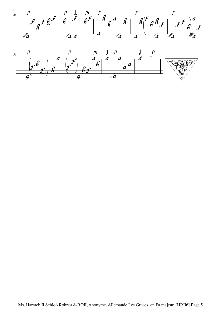

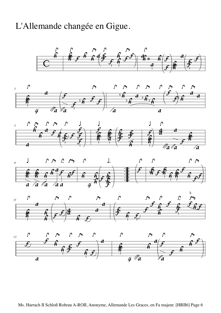### <span id="page-7-0"></span>L'Allemande changée en Gigue.